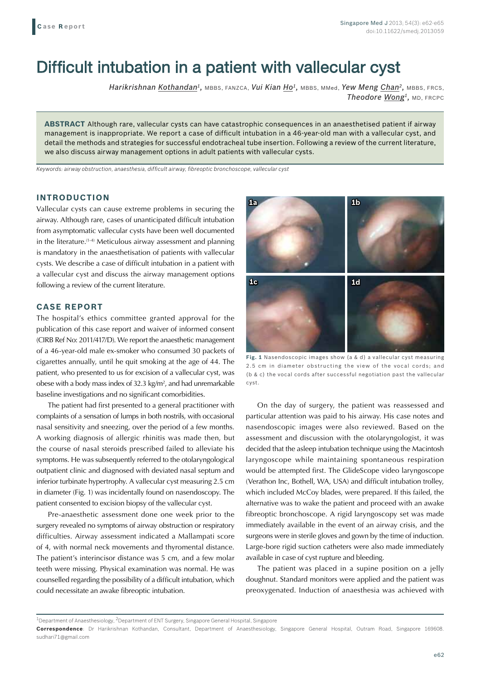# Difficult intubation in a patient with vallecular cyst

*Harikrishnan Kothandan1,* MBBS, FANZCA, *Vui Kian Ho1,* MBBS, MMed, *Yew Meng Chan2,* MBBS, FRCS, *Theodore Wong1,* MD, FRCPC

**ABSTRACT** Although rare, vallecular cysts can have catastrophic consequences in an anaesthetised patient if airway management is inappropriate. We report a case of difficult intubation in a 46-year-old man with a vallecular cyst, and detail the methods and strategies for successful endotracheal tube insertion. Following a review of the current literature, we also discuss airway management options in adult patients with vallecular cysts.

*Keywords: airway obstruction, anaesthesia, difficult airway, fibreoptic bronchoscope, vallecular cyst*

### **INTRODUCTION**

Vallecular cysts can cause extreme problems in securing the airway. Although rare, cases of unanticipated difficult intubation from asymptomatic vallecular cysts have been well documented in the literature.(1-4) Meticulous airway assessment and planning is mandatory in the anaesthetisation of patients with vallecular cysts. We describe a case of difficult intubation in a patient with a vallecular cyst and discuss the airway management options following a review of the current literature.

## **CASE REPORT**

The hospital's ethics committee granted approval for the publication of this case report and waiver of informed consent (CIRB Ref No: 2011/417/D). We report the anaesthetic management of a 46-year-old male ex-smoker who consumed 30 packets of cigarettes annually, until he quit smoking at the age of 44. The patient, who presented to us for excision of a vallecular cyst, was obese with a body mass index of 32.3 kg/m<sup>2</sup>, and had unremarkable baseline investigations and no significant comorbidities.

The patient had first presented to a general practitioner with complaints of a sensation of lumps in both nostrils, with occasional nasal sensitivity and sneezing, over the period of a few months. A working diagnosis of allergic rhinitis was made then, but the course of nasal steroids prescribed failed to alleviate his symptoms. He was subsequently referred to the otolaryngological outpatient clinic and diagnosed with deviated nasal septum and inferior turbinate hypertrophy. A vallecular cyst measuring 2.5 cm in diameter (Fig. 1) was incidentally found on nasendoscopy. The patient consented to excision biopsy of the vallecular cyst.

Pre-anaesthetic assessment done one week prior to the surgery revealed no symptoms of airway obstruction or respiratory difficulties. Airway assessment indicated a Mallampati score of 4, with normal neck movements and thyromental distance. The patient's interincisor distance was 5 cm, and a few molar teeth were missing. Physical examination was normal. He was counselled regarding the possibility of a difficult intubation, which could necessitate an awake fibreoptic intubation.



**Fig. 1** Nasendoscopic images show (a & d) a vallecular cyst measuring 2.5 cm in diameter obstructing the view of the vocal cords; and (b & c) the vocal cords after successful negotiation past the vallecular cyst.

On the day of surgery, the patient was reassessed and particular attention was paid to his airway. His case notes and nasendoscopic images were also reviewed. Based on the assessment and discussion with the otolaryngologist, it was decided that the asleep intubation technique using the Macintosh laryngoscope while maintaining spontaneous respiration would be attempted first. The GlideScope video laryngoscope (Verathon Inc, Bothell, WA, USA) and difficult intubation trolley, which included McCoy blades, were prepared. If this failed, the alternative was to wake the patient and proceed with an awake fibreoptic bronchoscope. A rigid laryngoscopy set was made immediately available in the event of an airway crisis, and the surgeons were in sterile gloves and gown by the time of induction. Large-bore rigid suction catheters were also made immediately available in case of cyst rupture and bleeding.

The patient was placed in a supine position on a jelly doughnut. Standard monitors were applied and the patient was preoxygenated. Induction of anaesthesia was achieved with

<sup>&</sup>lt;sup>1</sup>Department of Anaesthesiology, <sup>2</sup>Department of ENT Surgery, Singapore General Hospital, Singapore

**Correspondence**: Dr Harikrishnan Kothandan, Consultant, Department of Anaesthesiology, Singapore General Hospital, Outram Road, Singapore 169608. sudhari71@gmail.com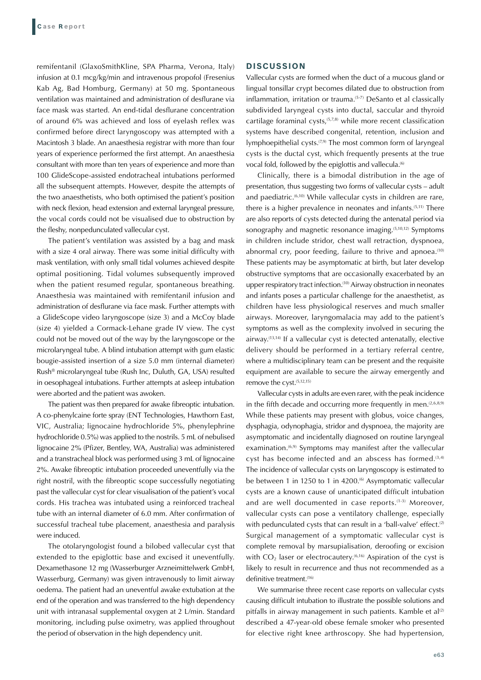remifentanil (GlaxoSmithKline, SPA Pharma, Verona, Italy) infusion at 0.1 mcg/kg/min and intravenous propofol (Fresenius Kab Ag, Bad Homburg, Germany) at 50 mg. Spontaneous ventilation was maintained and administration of desflurane via face mask was started. An end-tidal desflurane concentration of around 6% was achieved and loss of eyelash reflex was confirmed before direct laryngoscopy was attempted with a Macintosh 3 blade. An anaesthesia registrar with more than four years of experience performed the first attempt. An anaesthesia consultant with more than ten years of experience and more than 100 GlideScope-assisted endotracheal intubations performed all the subsequent attempts. However, despite the attempts of the two anaesthetists, who both optimised the patient's position with neck flexion, head extension and external laryngeal pressure, the vocal cords could not be visualised due to obstruction by the fleshy, nonpedunculated vallecular cyst.

The patient's ventilation was assisted by a bag and mask with a size 4 oral airway. There was some initial difficulty with mask ventilation, with only small tidal volumes achieved despite optimal positioning. Tidal volumes subsequently improved when the patient resumed regular, spontaneous breathing. Anaesthesia was maintained with remifentanil infusion and administration of desflurane via face mask. Further attempts with a GlideScope video laryngoscope (size 3) and a McCoy blade (size 4) yielded a Cormack-Lehane grade IV view. The cyst could not be moved out of the way by the laryngoscope or the microlaryngeal tube. A blind intubation attempt with gum elastic bougie-assisted insertion of a size 5.0 mm (internal diameter) Rush® microlaryngeal tube (Rush Inc, Duluth, GA, USA) resulted in oesophageal intubations. Further attempts at asleep intubation were aborted and the patient was awoken.

The patient was then prepared for awake fibreoptic intubation. A co-phenylcaine forte spray (ENT Technologies, Hawthorn East, VIC, Australia; lignocaine hydrochloride 5%, phenylephrine hydrochloride 0.5%) was applied to the nostrils. 5 mL of nebulised lignocaine 2% (Pfizer, Bentley, WA, Australia) was administered and a transtracheal block was performed using 3 mL of lignocaine 2%. Awake fibreoptic intubation proceeded uneventfully via the right nostril, with the fibreoptic scope successfully negotiating past the vallecular cyst for clear visualisation of the patient's vocal cords. His trachea was intubated using a reinforced tracheal tube with an internal diameter of 6.0 mm. After confirmation of successful tracheal tube placement, anaesthesia and paralysis were induced.

The otolaryngologist found a bilobed vallecular cyst that extended to the epiglottic base and excised it uneventfully. Dexamethasone 12 mg (Wasserburger Arzneimittelwerk GmbH, Wasserburg, Germany) was given intravenously to limit airway oedema. The patient had an uneventful awake extubation at the end of the operation and was transferred to the high dependency unit with intranasal supplemental oxygen at 2 L/min. Standard monitoring, including pulse oximetry, was applied throughout the period of observation in the high dependency unit.

#### **DISCUSSION**

Vallecular cysts are formed when the duct of a mucous gland or lingual tonsillar crypt becomes dilated due to obstruction from inflammation, irritation or trauma.<sup>(5-7)</sup> DeSanto et al classically subdivided laryngeal cysts into ductal, saccular and thyroid cartilage foraminal cysts,(5,7,8) while more recent classification systems have described congenital, retention, inclusion and lymphoepithelial cysts.<sup>(7,9)</sup> The most common form of laryngeal cysts is the ductal cyst, which frequently presents at the true vocal fold, followed by the epiglottis and vallecula.<sup>(6)</sup>

Clinically, there is a bimodal distribution in the age of presentation, thus suggesting two forms of vallecular cysts – adult and paediatric.<sup>(6,10)</sup> While vallecular cysts in children are rare, there is a higher prevalence in neonates and infants.(5,11) There are also reports of cysts detected during the antenatal period via sonography and magnetic resonance imaging.<sup>(5,10,12)</sup> Symptoms in children include stridor, chest wall retraction, dyspnoea, abnormal cry, poor feeding, failure to thrive and apnoea.<sup>(10)</sup> These patients may be asymptomatic at birth, but later develop obstructive symptoms that are occasionally exacerbated by an upper respiratory tract infection.(10) Airway obstruction in neonates and infants poses a particular challenge for the anaesthetist, as children have less physiological reserves and much smaller airways. Moreover, laryngomalacia may add to the patient's symptoms as well as the complexity involved in securing the airway.(13,14) If a vallecular cyst is detected antenatally, elective delivery should be performed in a tertiary referral centre, where a multidisciplinary team can be present and the requisite equipment are available to secure the airway emergently and remove the cyst.<sup>(5,12,15)</sup>

Vallecular cysts in adults are even rarer, with the peak incidence in the fifth decade and occurring more frequently in men. $(2,6,8,9)$ While these patients may present with globus, voice changes, dysphagia, odynophagia, stridor and dyspnoea, the majority are asymptomatic and incidentally diagnosed on routine laryngeal examination.<sup>(6,9)</sup> Symptoms may manifest after the vallecular cyst has become infected and an abscess has formed.<sup>(3,4)</sup> The incidence of vallecular cysts on laryngoscopy is estimated to be between 1 in 1250 to 1 in 4200.<sup>(6)</sup> Asymptomatic vallecular cysts are a known cause of unanticipated difficult intubation and are well documented in case reports.<sup>(1-3)</sup> Moreover, vallecular cysts can pose a ventilatory challenge, especially with pedunculated cysts that can result in a 'ball-valve' effect.<sup>(2)</sup> Surgical management of a symptomatic vallecular cyst is complete removal by marsupialisation, deroofing or excision with  $CO<sub>2</sub>$  laser or electrocautery.<sup>(6,16)</sup> Aspiration of the cyst is likely to result in recurrence and thus not recommended as a definitive treatment.<sup>(16)</sup>

We summarise three recent case reports on vallecular cysts causing difficult intubation to illustrate the possible solutions and pitfalls in airway management in such patients. Kamble et  $al^{(2)}$ described a 47-year-old obese female smoker who presented for elective right knee arthroscopy. She had hypertension,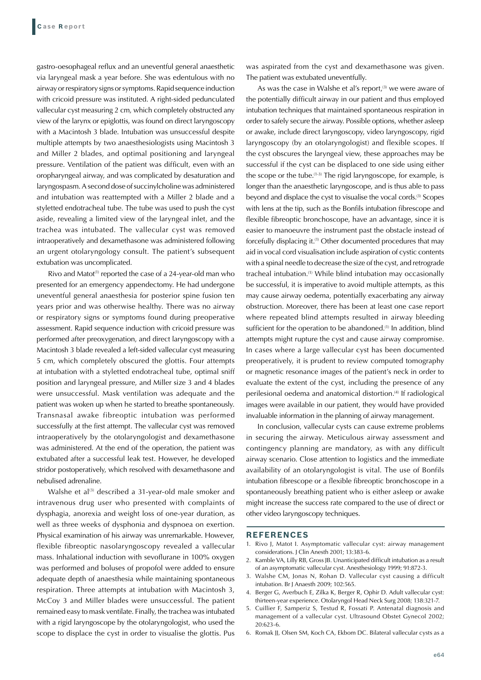gastro-oesophageal reflux and an uneventful general anaesthetic via laryngeal mask a year before. She was edentulous with no airway or respiratory signs or symptoms. Rapid sequence induction with cricoid pressure was instituted. A right-sided pedunculated vallecular cyst measuring 2 cm, which completely obstructed any view of the larynx or epiglottis, was found on direct laryngoscopy with a Macintosh 3 blade. Intubation was unsuccessful despite multiple attempts by two anaesthesiologists using Macintosh 3 and Miller 2 blades, and optimal positioning and laryngeal pressure. Ventilation of the patient was difficult, even with an oropharyngeal airway, and was complicated by desaturation and laryngospasm. A second dose of succinylcholine was administered and intubation was reattempted with a Miller 2 blade and a styletted endotracheal tube. The tube was used to push the cyst aside, revealing a limited view of the laryngeal inlet, and the trachea was intubated. The vallecular cyst was removed intraoperatively and dexamethasone was administered following an urgent otolaryngology consult. The patient's subsequent extubation was uncomplicated.

Rivo and Matot<sup>(1)</sup> reported the case of a 24-year-old man who presented for an emergency appendectomy. He had undergone uneventful general anaesthesia for posterior spine fusion ten years prior and was otherwise healthy. There was no airway or respiratory signs or symptoms found during preoperative assessment. Rapid sequence induction with cricoid pressure was performed after preoxygenation, and direct laryngoscopy with a Macintosh 3 blade revealed a left-sided vallecular cyst measuring 5 cm, which completely obscured the glottis. Four attempts at intubation with a styletted endotracheal tube, optimal sniff position and laryngeal pressure, and Miller size 3 and 4 blades were unsuccessful. Mask ventilation was adequate and the patient was woken up when he started to breathe spontaneously. Transnasal awake fibreoptic intubation was performed successfully at the first attempt. The vallecular cyst was removed intraoperatively by the otolaryngologist and dexamethasone was administered. At the end of the operation, the patient was extubated after a successful leak test. However, he developed stridor postoperatively, which resolved with dexamethasone and nebulised adrenaline.

Walshe et al<sup>(3)</sup> described a 31-year-old male smoker and intravenous drug user who presented with complaints of dysphagia, anorexia and weight loss of one-year duration, as well as three weeks of dysphonia and dyspnoea on exertion. Physical examination of his airway was unremarkable. However, flexible fibreoptic nasolaryngoscopy revealed a vallecular mass. Inhalational induction with sevoflurane in 100% oxygen was performed and boluses of propofol were added to ensure adequate depth of anaesthesia while maintaining spontaneous respiration. Three attempts at intubation with Macintosh 3, McCoy 3 and Miller blades were unsuccessful. The patient remained easy to mask ventilate. Finally, the trachea was intubated with a rigid laryngoscope by the otolaryngologist, who used the scope to displace the cyst in order to visualise the glottis. Pus was aspirated from the cyst and dexamethasone was given. The patient was extubated uneventfully.

As was the case in Walshe et al's report,<sup>(3)</sup> we were aware of the potentially difficult airway in our patient and thus employed intubation techniques that maintained spontaneous respiration in order to safely secure the airway. Possible options, whether asleep or awake, include direct laryngoscopy, video laryngoscopy, rigid laryngoscopy (by an otolaryngologist) and flexible scopes. If the cyst obscures the laryngeal view, these approaches may be successful if the cyst can be displaced to one side using either the scope or the tube.<sup> $(1-3)$ </sup> The rigid laryngoscope, for example, is longer than the anaesthetic laryngoscope, and is thus able to pass beyond and displace the cyst to visualise the vocal cords.<sup>(3)</sup> Scopes with lens at the tip, such as the Bonfils intubation fibrescope and flexible fibreoptic bronchoscope, have an advantage, since it is easier to manoeuvre the instrument past the obstacle instead of forcefully displacing it.(1) Other documented procedures that may aid in vocal cord visualisation include aspiration of cystic contents with a spinal needle to decrease the size of the cyst, and retrograde tracheal intubation.<sup>(1)</sup> While blind intubation may occasionally be successful, it is imperative to avoid multiple attempts, as this may cause airway oedema, potentially exacerbating any airway obstruction. Moreover, there has been at least one case report where repeated blind attempts resulted in airway bleeding sufficient for the operation to be abandoned.<sup>(1)</sup> In addition, blind attempts might rupture the cyst and cause airway compromise. In cases where a large vallecular cyst has been documented preoperatively, it is prudent to review computed tomography or magnetic resonance images of the patient's neck in order to evaluate the extent of the cyst, including the presence of any perilesional oedema and anatomical distortion.<sup>(4)</sup> If radiological images were available in our patient, they would have provided invaluable information in the planning of airway management.

In conclusion, vallecular cysts can cause extreme problems in securing the airway. Meticulous airway assessment and contingency planning are mandatory, as with any difficult airway scenario. Close attention to logistics and the immediate availability of an otolaryngologist is vital. The use of Bonfils intubation fibrescope or a flexible fibreoptic bronchoscope in a spontaneously breathing patient who is either asleep or awake might increase the success rate compared to the use of direct or other video laryngoscopy techniques.

#### **REFERENCES**

- 1. Rivo J, Matot I. Asymptomatic vallecular cyst: airway management considerations. J Clin Anesth 2001; 13:383-6.
- 2. Kamble VA, Lilly RB, Gross JB. Unanticipated difficult intubation as a result of an asymptomatic vallecular cyst. Anesthesiology 1999; 91:872-3.
- 3. Walshe CM, Jonas N, Rohan D. Vallecular cyst causing a difficult intubation. Br J Anaesth 2009; 102:565.
- 4. Berger G, Averbuch E, Zilka K, Berger R, Ophir D. Adult vallecular cyst: thirteen-year experience. Otolaryngol Head Neck Surg 2008; 138:321-7.
- 5. Cuillier F, Samperiz S, Testud R, Fossati P. Antenatal diagnosis and management of a vallecular cyst. Ultrasound Obstet Gynecol 2002; 20:623-6.
- 6. Romak JJ, Olsen SM, Koch CA, Ekbom DC. Bilateral vallecular cysts as a